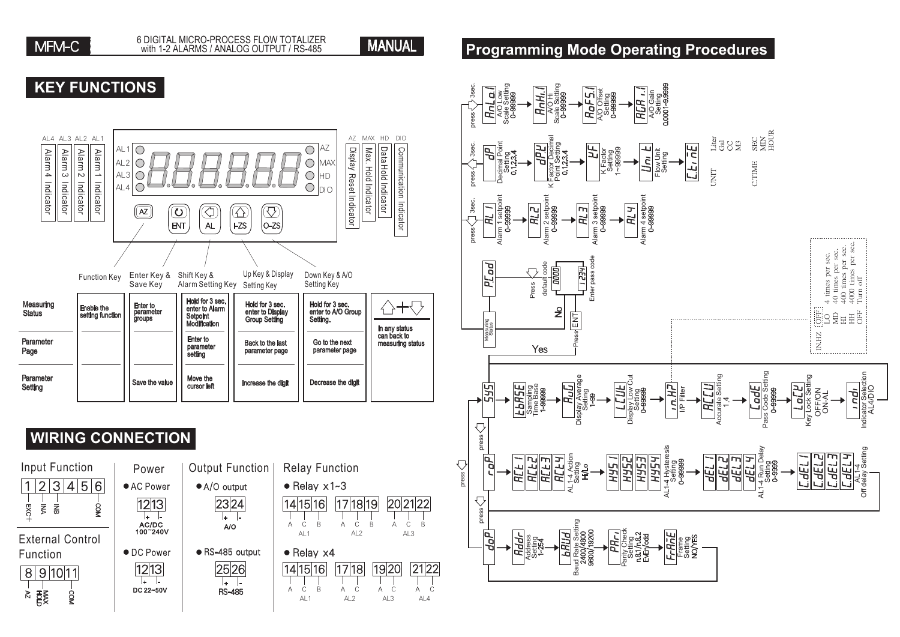

#### **Programming Mode Operating Procedures**

#### **KEY FUNCTIONS**



### **WIRING CONNEC**



| <b>FIION</b>                                 |                                                         |
|----------------------------------------------|---------------------------------------------------------|
| /er<br>ower<br>$\overline{13}$<br>DC<br>240V | Output Functio<br>• A/O output<br>$\sqrt{23}$ 24<br>A/O |
| ower<br>13<br>$-50V$                         | ● RS-485 output<br>2526<br>RS-485                       |



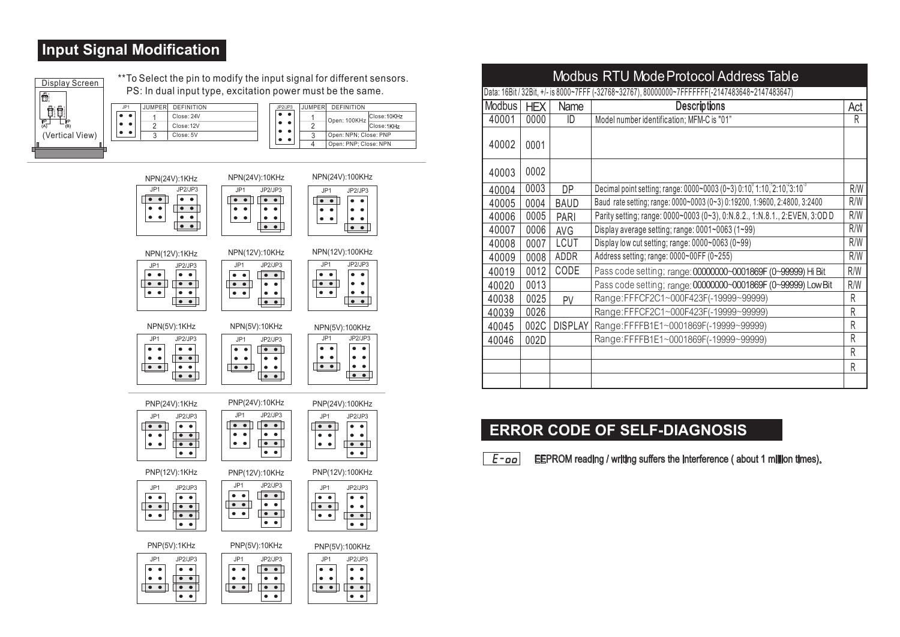#### **Input Signal Modification**

 $\bullet\quad \bullet$  $\bullet$   $\bullet$ 

| Display Screen         |
|------------------------|
| ti ?                   |
|                        |
| VΡ<br>lΡ<br>(B)<br>ίAΪ |
| (Vertical View)        |
|                        |

\*\*To Select the pin to modify the input signal for different sensors. PS: In dual input type, excitation power must be the same.

| JP1 | <b>JUMPER</b> | <b>DEFINITION</b> | JP2/JP3                                      | <b>JUMPERI</b> | DEFINITION            |              |
|-----|---------------|-------------------|----------------------------------------------|----------------|-----------------------|--------------|
|     |               | Close: 24V        | . .                                          |                | Open: 100KHz          | Close: 10KHz |
|     |               | Close: 12V        | . .                                          |                |                       | Close:1KHz   |
|     |               | Close: 5V         | $\bullet\hspace{1.4mm}\bullet\hspace{1.4mm}$ |                | Open: NPN: Close: PNP |              |
|     |               |                   |                                              |                | Open: PNP: Close: NPN |              |



|               |            |                | <b>Modbus RTU Mode Protocol Address Table</b>                                                   |     |
|---------------|------------|----------------|-------------------------------------------------------------------------------------------------|-----|
|               |            |                | Data: 16Bit / 32Bit, +/- is 8000~7FFF (-32768~32767), 80000000~7FFFFFFF(-2147483648~2147483647) |     |
| <b>Modbus</b> | <b>HEX</b> | Name           | <b>Descriptions</b>                                                                             | Act |
| 40001         | 0000       | ID             | Model number identification; MFM-C is "01"                                                      | R   |
| 40002         | 0001       |                |                                                                                                 |     |
| 40003         | 0002       |                |                                                                                                 |     |
| 40004         | 0003       | <b>DP</b>      | Decimal point setting; range: 0000~0003 (0~3) 0:10, 1:10, 2:10, 3:10 <sup>3</sup>               | R/W |
| 40005         | 0004       | <b>BAUD</b>    | Baud rate setting; range: 0000~0003 (0~3) 0:19200, 1:9600, 2:4800, 3:2400                       | R/W |
| 40006         | 0005       | <b>PARI</b>    | Parity setting; range: 0000~0003 (0~3), 0:N.8.2., 1:N.8.1., 2:EVEN, 3:OD D                      | R/W |
| 40007         | 0006       | <b>AVG</b>     | Display average setting; range: 0001~0063 (1~99)                                                | R/W |
| 40008         | 0007       | <b>LCUT</b>    | Display low cut setting; range: 0000~0063 (0~99)                                                | R/W |
| 40009         | 0008       | ADDR           | Address setting; range: 0000~00FF (0~255)                                                       | R/W |
| 40019         | 0012       | CODE           | Pass code setting; range: 00000000~0001869F (0~99999) Hi Bit                                    | R/W |
| 40020         | 0013       |                | Pass code setting; range: 00000000~0001869F (0~99999) Low Bit                                   | R/W |
| 40038         | 0025       | PV             | Range:FFFCF2C1~000F423F(-19999~99999)                                                           | R   |
| 40039         | 0026       |                | Range:FFFCF2C1~000F423F(-19999~99999)                                                           | R   |
| 40045         | 002C       | <b>DISPLAY</b> | Range:FFFFB1E1~0001869F(-19999~99999)                                                           | R   |
| 40046         | 002D       |                | Range:FFFFB1E1~0001869F(-19999~99999)                                                           | R   |
|               |            |                |                                                                                                 | R   |
|               |            |                |                                                                                                 | R   |
|               |            |                |                                                                                                 |     |

#### **ERROR CODE OF SELF-DIAGNOSIS**

 $F$ -00 EEPROM reading / writing suffers the interference ( about 1 million times).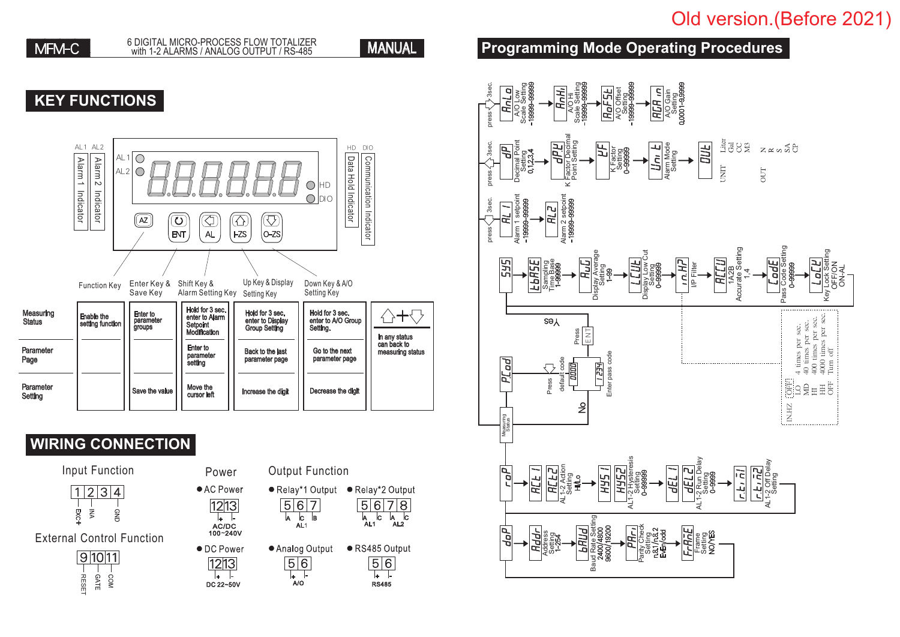# Old version.(Before 2021)

**MANUAL** 

#### **KEY FUNCTIONS**



#### **WIRING CONNECTION**



External Control Function



| Input Function | Power              | <b>Output Function</b> |
|----------------|--------------------|------------------------|
| 1 2 3 4        | $\bullet$ AC Power | ● Relay*1 Output       |



 $1213$  $\overline{+}$   $\overline{+}$ DC 22~50V



#### **Programming Mode Operating Procedures**